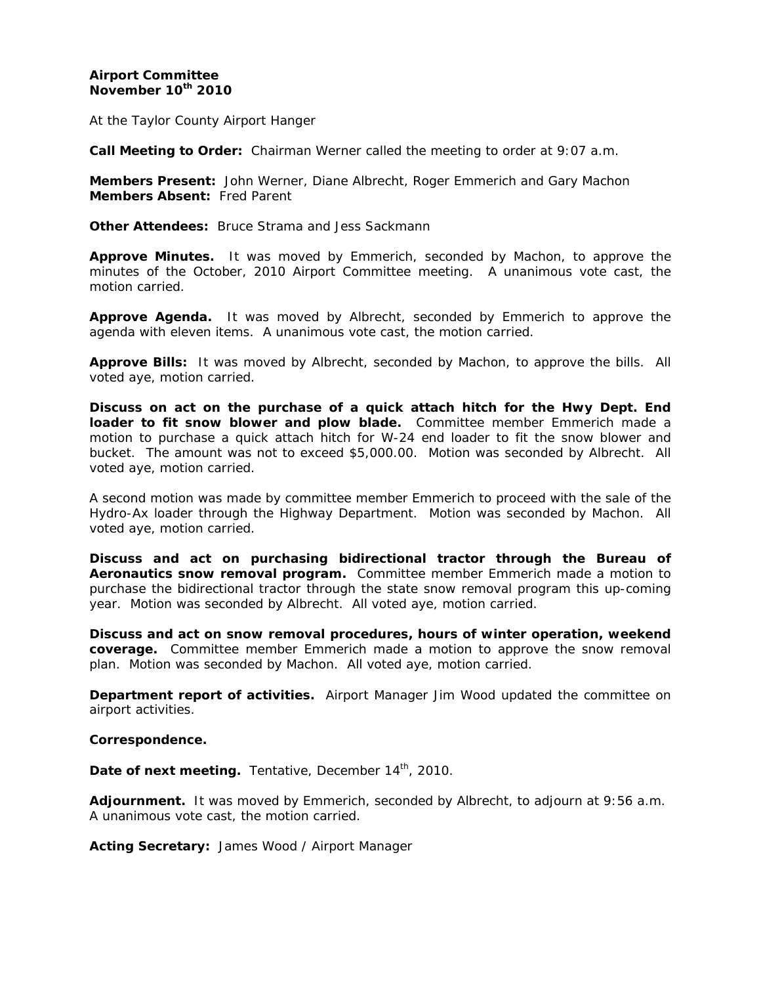# **Airport Committee November 10th 2010**

At the Taylor County Airport Hanger

**Call Meeting to Order:** Chairman Werner called the meeting to order at 9:07 a.m.

**Members Present:** John Werner, Diane Albrecht, Roger Emmerich and Gary Machon **Members Absent:** Fred Parent

**Other Attendees:** Bruce Strama and Jess Sackmann

**Approve Minutes.** It was moved by Emmerich, seconded by Machon, to approve the minutes of the October, 2010 Airport Committee meeting. A unanimous vote cast, the motion carried.

**Approve Agenda.** It was moved by Albrecht, seconded by Emmerich to approve the agenda with eleven items. A unanimous vote cast, the motion carried.

**Approve Bills:** It was moved by Albrecht, seconded by Machon, to approve the bills. All voted aye, motion carried.

**Discuss on act on the purchase of a quick attach hitch for the Hwy Dept. End loader to fit snow blower and plow blade.** Committee member Emmerich made a motion to purchase a quick attach hitch for W-24 end loader to fit the snow blower and bucket. The amount was not to exceed \$5,000.00. Motion was seconded by Albrecht. All voted aye, motion carried.

A second motion was made by committee member Emmerich to proceed with the sale of the Hydro-Ax loader through the Highway Department. Motion was seconded by Machon. All voted aye, motion carried.

**Discuss and act on purchasing bidirectional tractor through the Bureau of Aeronautics snow removal program.** Committee member Emmerich made a motion to purchase the bidirectional tractor through the state snow removal program this up-coming year. Motion was seconded by Albrecht. All voted aye, motion carried.

**Discuss and act on snow removal procedures, hours of winter operation, weekend coverage.** Committee member Emmerich made a motion to approve the snow removal plan. Motion was seconded by Machon. All voted aye, motion carried.

**Department report of activities.** Airport Manager Jim Wood updated the committee on airport activities.

### **Correspondence.**

**Date of next meeting.** Tentative, December 14<sup>th</sup>, 2010.

**Adjournment.** It was moved by Emmerich, seconded by Albrecht, to adjourn at 9:56 a.m. A unanimous vote cast, the motion carried.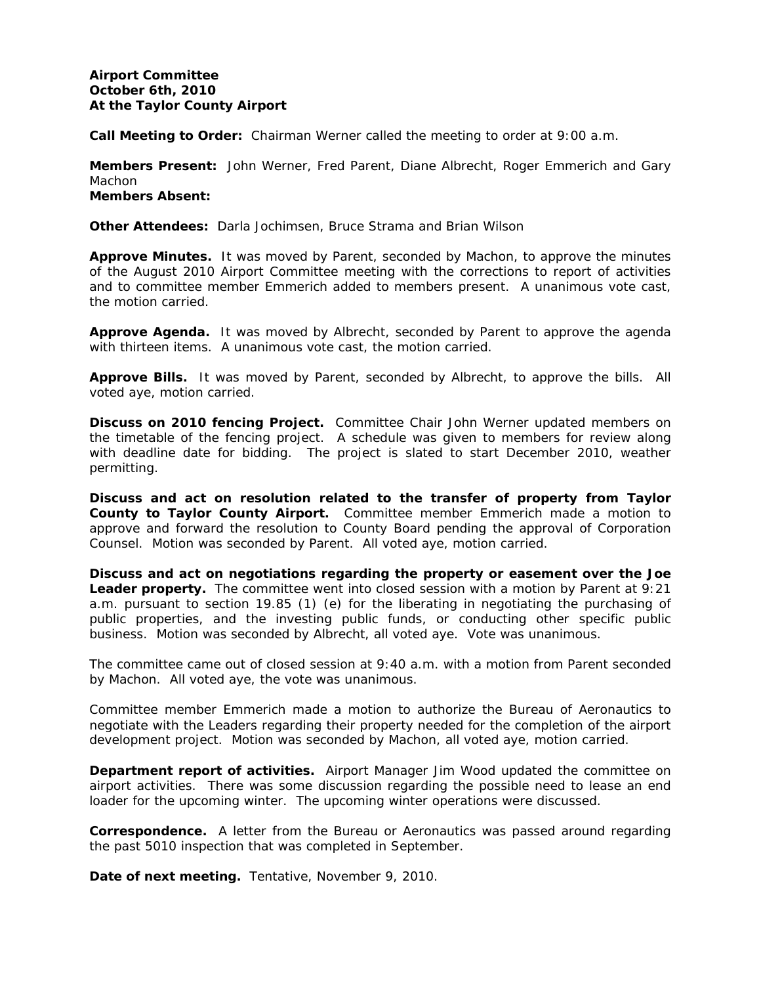## **Airport Committee October 6th, 2010 At the Taylor County Airport**

**Call Meeting to Order:** Chairman Werner called the meeting to order at 9:00 a.m.

**Members Present:** John Werner, Fred Parent, Diane Albrecht, Roger Emmerich and Gary Machon **Members Absent:** 

**Other Attendees:** Darla Jochimsen, Bruce Strama and Brian Wilson

**Approve Minutes.** It was moved by Parent, seconded by Machon, to approve the minutes of the August 2010 Airport Committee meeting with the corrections to report of activities and to committee member Emmerich added to members present. A unanimous vote cast, the motion carried.

**Approve Agenda.** It was moved by Albrecht, seconded by Parent to approve the agenda with thirteen items. A unanimous vote cast, the motion carried.

**Approve Bills.** It was moved by Parent, seconded by Albrecht, to approve the bills. All voted aye, motion carried.

**Discuss on 2010 fencing Project.** Committee Chair John Werner updated members on the timetable of the fencing project. A schedule was given to members for review along with deadline date for bidding. The project is slated to start December 2010, weather permitting.

**Discuss and act on resolution related to the transfer of property from Taylor County to Taylor County Airport.** Committee member Emmerich made a motion to approve and forward the resolution to County Board pending the approval of Corporation Counsel. Motion was seconded by Parent. All voted aye, motion carried.

**Discuss and act on negotiations regarding the property or easement over the Joe Leader property.** The committee went into closed session with a motion by Parent at 9:21 a.m. pursuant to section 19.85 (1) (e) for the liberating in negotiating the purchasing of public properties, and the investing public funds, or conducting other specific public business. Motion was seconded by Albrecht, all voted aye. Vote was unanimous.

The committee came out of closed session at 9:40 a.m. with a motion from Parent seconded by Machon. All voted aye, the vote was unanimous.

Committee member Emmerich made a motion to authorize the Bureau of Aeronautics to negotiate with the Leaders regarding their property needed for the completion of the airport development project. Motion was seconded by Machon, all voted aye, motion carried.

**Department report of activities.** Airport Manager Jim Wood updated the committee on airport activities. There was some discussion regarding the possible need to lease an end loader for the upcoming winter. The upcoming winter operations were discussed.

**Correspondence.** A letter from the Bureau or Aeronautics was passed around regarding the past 5010 inspection that was completed in September.

**Date of next meeting.** Tentative, November 9, 2010.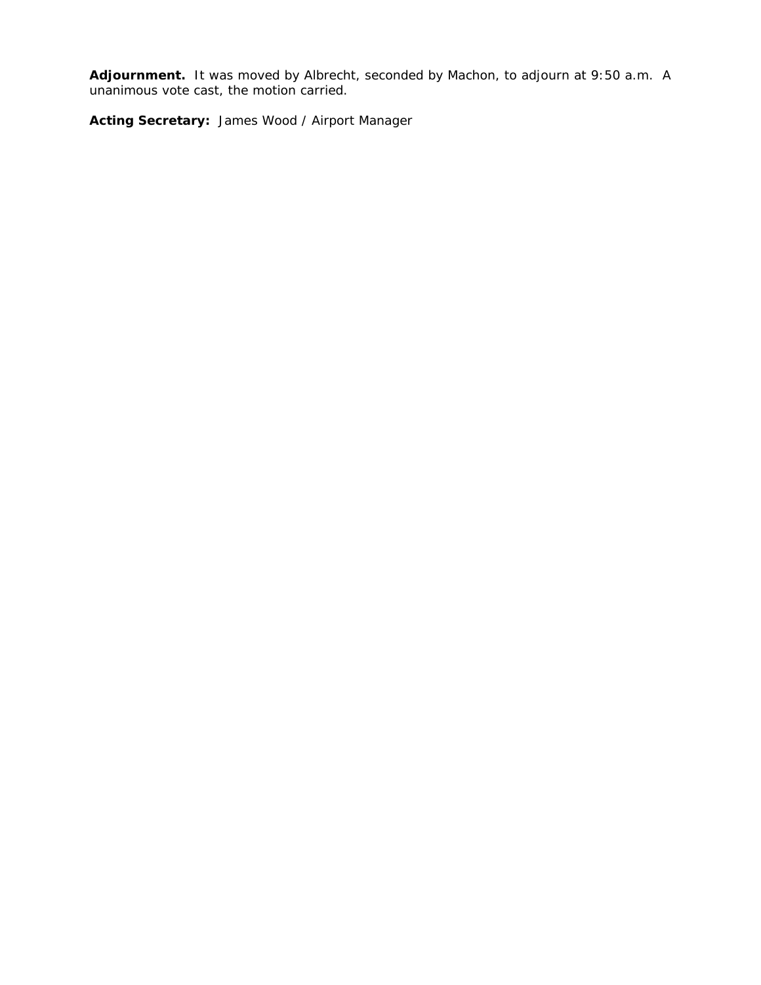**Adjournment.** It was moved by Albrecht, seconded by Machon, to adjourn at 9:50 a.m. A unanimous vote cast, the motion carried.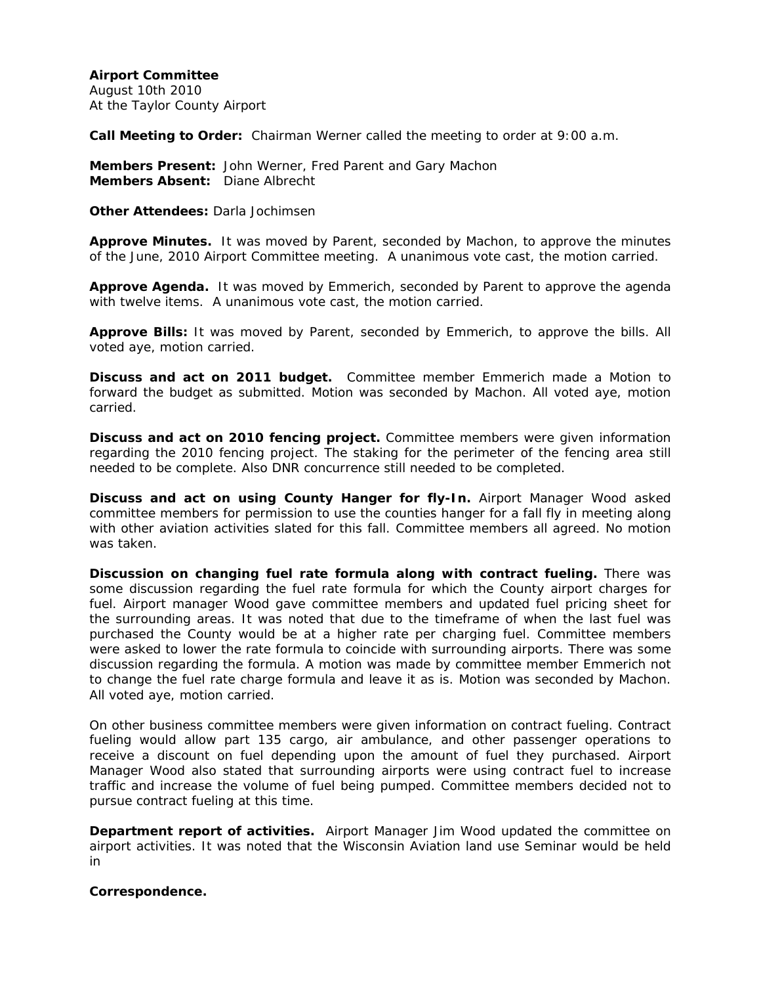August 10th 2010 At the Taylor County Airport

**Call Meeting to Order:** Chairman Werner called the meeting to order at 9:00 a.m.

**Members Present:** John Werner, Fred Parent and Gary Machon **Members Absent:** Diane Albrecht

**Other Attendees:** Darla Jochimsen

**Approve Minutes.** It was moved by Parent, seconded by Machon, to approve the minutes of the June, 2010 Airport Committee meeting. A unanimous vote cast, the motion carried.

**Approve Agenda.** It was moved by Emmerich, seconded by Parent to approve the agenda with twelve items. A unanimous vote cast, the motion carried.

**Approve Bills:** It was moved by Parent, seconded by Emmerich, to approve the bills. All voted aye, motion carried.

**Discuss and act on 2011 budget.** Committee member Emmerich made a Motion to forward the budget as submitted. Motion was seconded by Machon. All voted aye, motion carried.

**Discuss and act on 2010 fencing project.** Committee members were given information regarding the 2010 fencing project. The staking for the perimeter of the fencing area still needed to be complete. Also DNR concurrence still needed to be completed.

**Discuss and act on using County Hanger for fly-In.** Airport Manager Wood asked committee members for permission to use the counties hanger for a fall fly in meeting along with other aviation activities slated for this fall. Committee members all agreed. No motion was taken.

**Discussion on changing fuel rate formula along with contract fueling.** There was some discussion regarding the fuel rate formula for which the County airport charges for fuel. Airport manager Wood gave committee members and updated fuel pricing sheet for the surrounding areas. It was noted that due to the timeframe of when the last fuel was purchased the County would be at a higher rate per charging fuel. Committee members were asked to lower the rate formula to coincide with surrounding airports. There was some discussion regarding the formula. A motion was made by committee member Emmerich not to change the fuel rate charge formula and leave it as is. Motion was seconded by Machon. All voted aye, motion carried.

On other business committee members were given information on contract fueling. Contract fueling would allow part 135 cargo, air ambulance, and other passenger operations to receive a discount on fuel depending upon the amount of fuel they purchased. Airport Manager Wood also stated that surrounding airports were using contract fuel to increase traffic and increase the volume of fuel being pumped. Committee members decided not to pursue contract fueling at this time.

**Department report of activities.** Airport Manager Jim Wood updated the committee on airport activities. It was noted that the Wisconsin Aviation land use Seminar would be held in

**Correspondence.**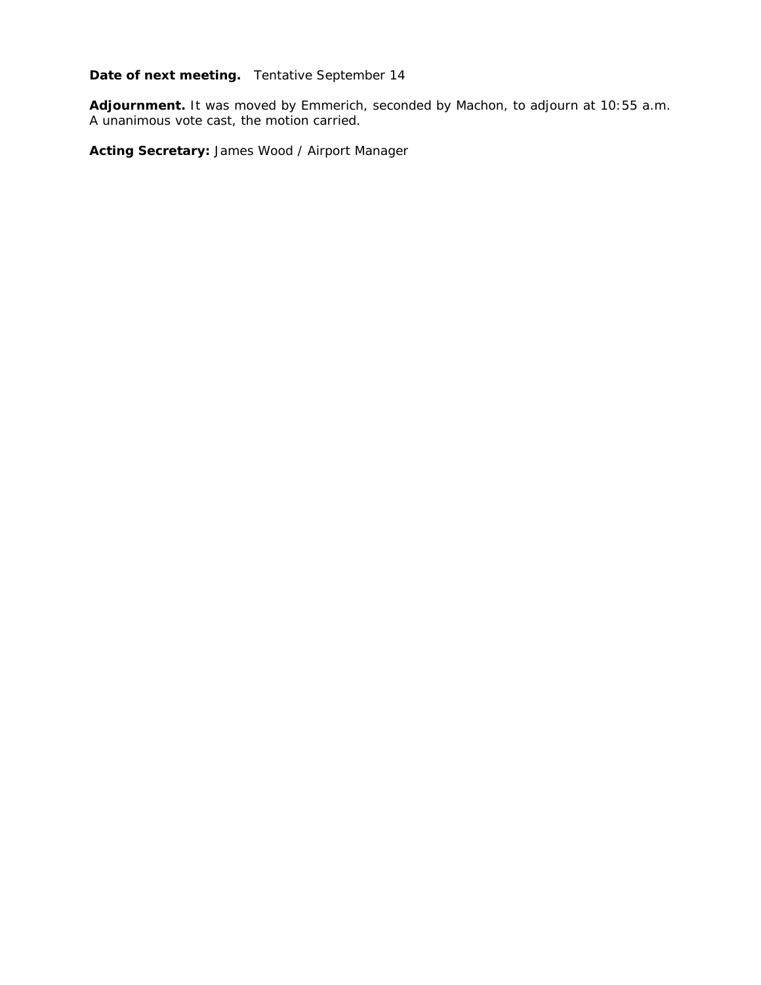# **Date of next meeting.** Tentative September 14

**Adjournment.** It was moved by Emmerich, seconded by Machon, to adjourn at 10:55 a.m. A unanimous vote cast, the motion carried.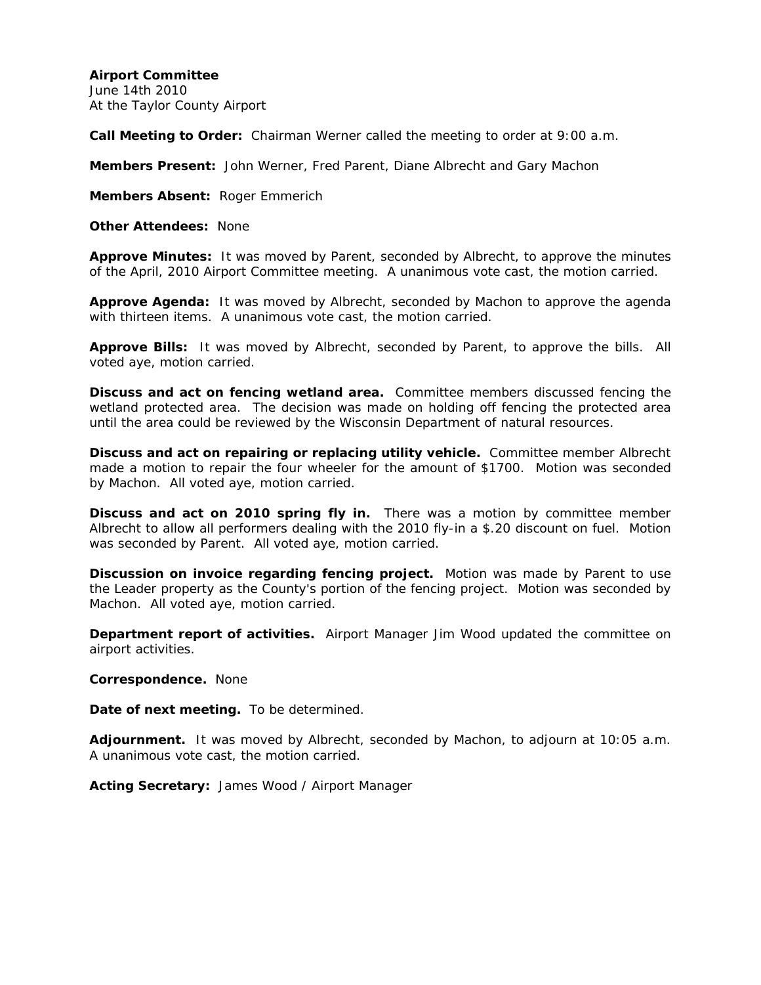June 14th 2010 At the Taylor County Airport

**Call Meeting to Order:** Chairman Werner called the meeting to order at 9:00 a.m.

**Members Present:** John Werner, Fred Parent, Diane Albrecht and Gary Machon

**Members Absent:** Roger Emmerich

**Other Attendees:** None

**Approve Minutes:** It was moved by Parent, seconded by Albrecht, to approve the minutes of the April, 2010 Airport Committee meeting. A unanimous vote cast, the motion carried.

**Approve Agenda:** It was moved by Albrecht, seconded by Machon to approve the agenda with thirteen items. A unanimous vote cast, the motion carried.

**Approve Bills:** It was moved by Albrecht, seconded by Parent, to approve the bills. All voted aye, motion carried.

**Discuss and act on fencing wetland area.** Committee members discussed fencing the wetland protected area. The decision was made on holding off fencing the protected area until the area could be reviewed by the Wisconsin Department of natural resources.

**Discuss and act on repairing or replacing utility vehicle.** Committee member Albrecht made a motion to repair the four wheeler for the amount of \$1700. Motion was seconded by Machon. All voted aye, motion carried.

**Discuss and act on 2010 spring fly in.** There was a motion by committee member Albrecht to allow all performers dealing with the 2010 fly-in a \$.20 discount on fuel. Motion was seconded by Parent. All voted aye, motion carried.

**Discussion on invoice regarding fencing project.** Motion was made by Parent to use the Leader property as the County's portion of the fencing project. Motion was seconded by Machon. All voted aye, motion carried.

**Department report of activities.** Airport Manager Jim Wood updated the committee on airport activities.

**Correspondence.** None

**Date of next meeting.** To be determined.

**Adjournment.** It was moved by Albrecht, seconded by Machon, to adjourn at 10:05 a.m. A unanimous vote cast, the motion carried.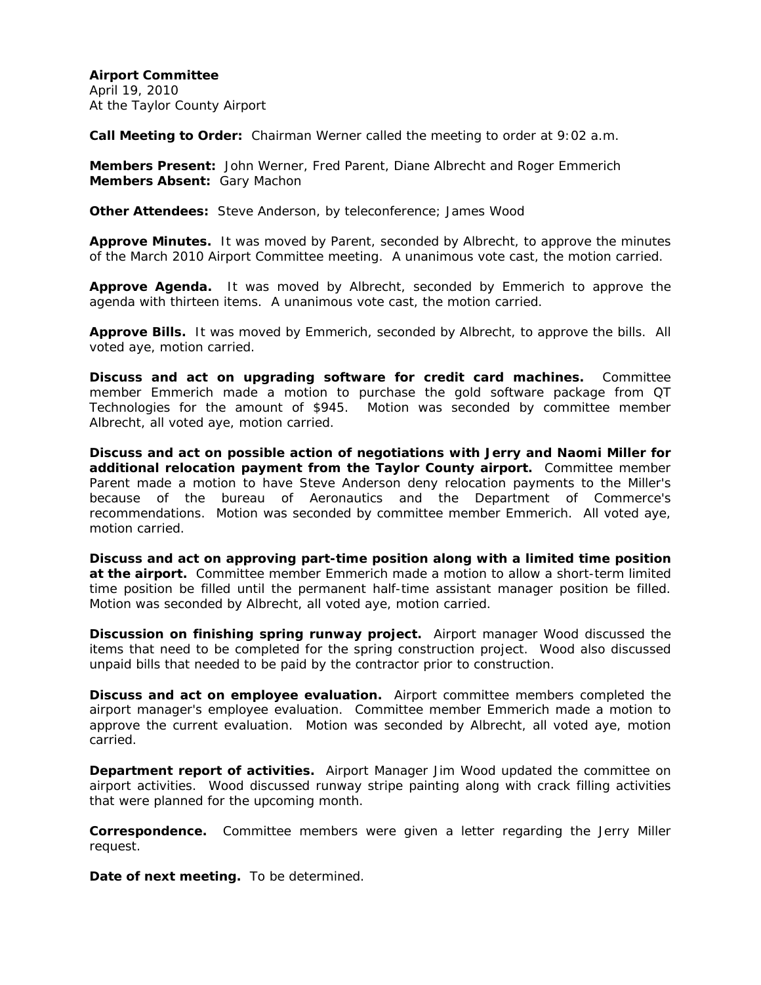**Airport Committee**  April 19, 2010 At the Taylor County Airport

**Call Meeting to Order:** Chairman Werner called the meeting to order at 9:02 a.m.

**Members Present:** John Werner, Fred Parent, Diane Albrecht and Roger Emmerich **Members Absent:** Gary Machon

**Other Attendees:** Steve Anderson, by teleconference; James Wood

**Approve Minutes.** It was moved by Parent, seconded by Albrecht, to approve the minutes of the March 2010 Airport Committee meeting. A unanimous vote cast, the motion carried.

**Approve Agenda.** It was moved by Albrecht, seconded by Emmerich to approve the agenda with thirteen items. A unanimous vote cast, the motion carried.

**Approve Bills.** It was moved by Emmerich, seconded by Albrecht, to approve the bills. All voted aye, motion carried.

**Discuss and act on upgrading software for credit card machines.** Committee member Emmerich made a motion to purchase the gold software package from QT Technologies for the amount of \$945. Motion was seconded by committee member Albrecht, all voted aye, motion carried.

**Discuss and act on possible action of negotiations with Jerry and Naomi Miller for additional relocation payment from the Taylor County airport.** Committee member Parent made a motion to have Steve Anderson deny relocation payments to the Miller's because of the bureau of Aeronautics and the Department of Commerce's recommendations. Motion was seconded by committee member Emmerich. All voted aye, motion carried.

**Discuss and act on approving part-time position along with a limited time position at the airport.** Committee member Emmerich made a motion to allow a short-term limited time position be filled until the permanent half-time assistant manager position be filled. Motion was seconded by Albrecht, all voted aye, motion carried.

**Discussion on finishing spring runway project.** Airport manager Wood discussed the items that need to be completed for the spring construction project. Wood also discussed unpaid bills that needed to be paid by the contractor prior to construction.

**Discuss and act on employee evaluation.** Airport committee members completed the airport manager's employee evaluation. Committee member Emmerich made a motion to approve the current evaluation. Motion was seconded by Albrecht, all voted aye, motion carried.

**Department report of activities.** Airport Manager Jim Wood updated the committee on airport activities. Wood discussed runway stripe painting along with crack filling activities that were planned for the upcoming month.

**Correspondence.** Committee members were given a letter regarding the Jerry Miller request.

**Date of next meeting.** To be determined.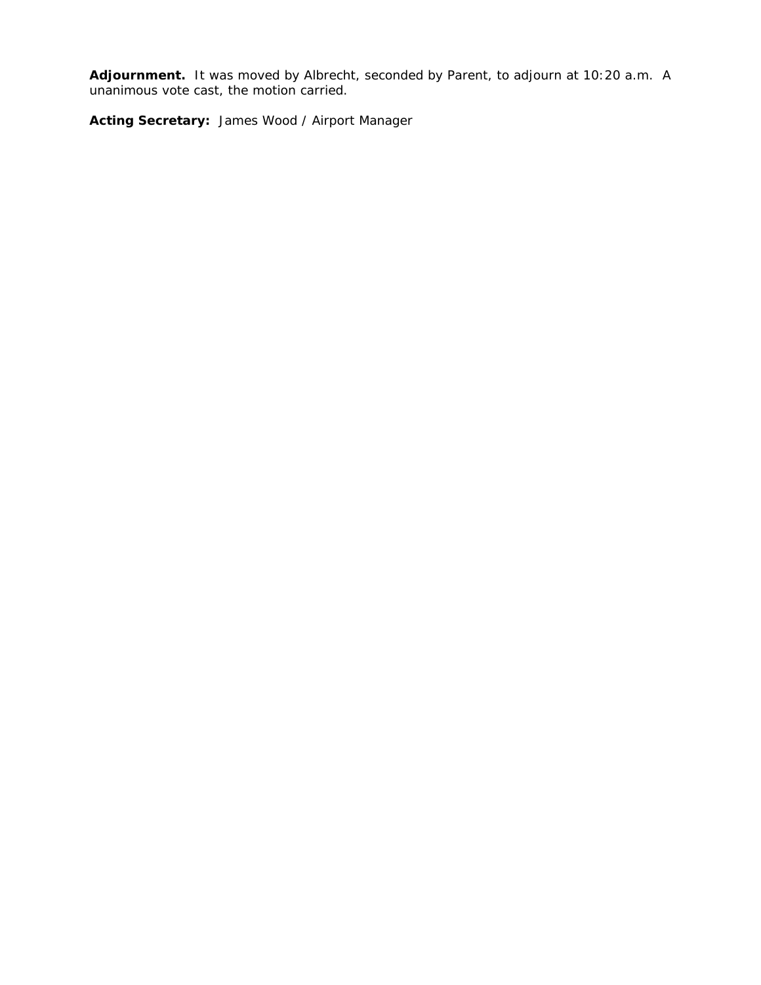**Adjournment.** It was moved by Albrecht, seconded by Parent, to adjourn at 10:20 a.m. A unanimous vote cast, the motion carried.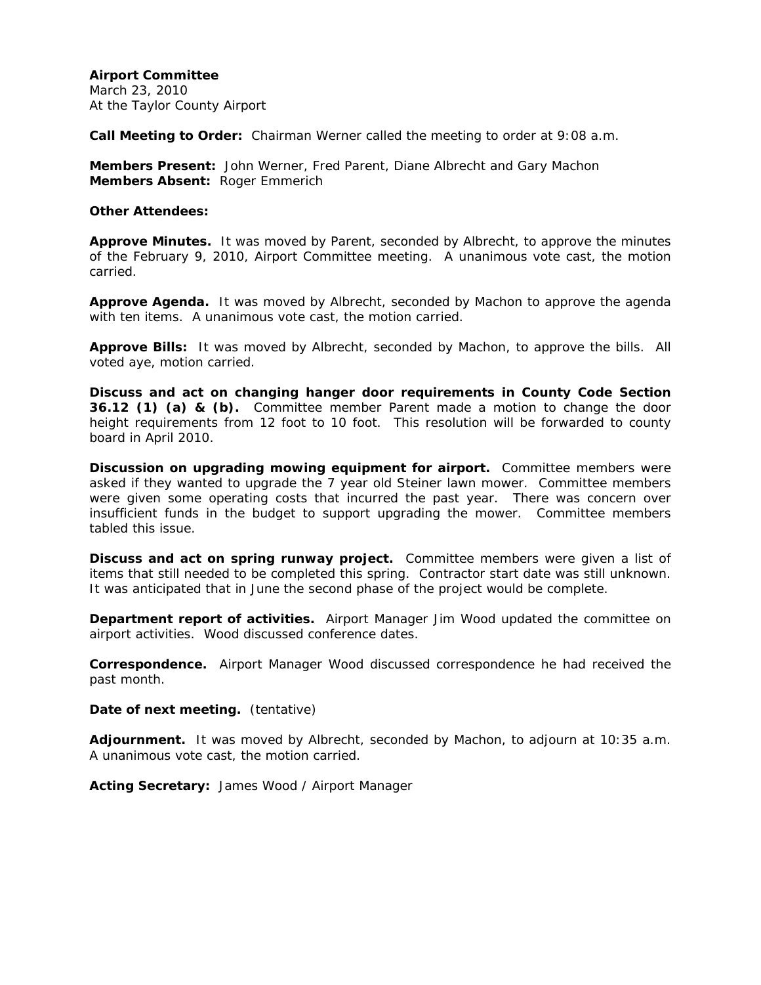March 23, 2010 At the Taylor County Airport

**Call Meeting to Order:** Chairman Werner called the meeting to order at 9:08 a.m.

**Members Present:** John Werner, Fred Parent, Diane Albrecht and Gary Machon **Members Absent:** Roger Emmerich

#### **Other Attendees:**

**Approve Minutes.** It was moved by Parent, seconded by Albrecht, to approve the minutes of the February 9, 2010, Airport Committee meeting. A unanimous vote cast, the motion carried.

**Approve Agenda.** It was moved by Albrecht, seconded by Machon to approve the agenda with ten items. A unanimous vote cast, the motion carried.

**Approve Bills:** It was moved by Albrecht, seconded by Machon, to approve the bills. All voted aye, motion carried.

**Discuss and act on changing hanger door requirements in County Code Section 36.12 (1) (a) & (b).** Committee member Parent made a motion to change the door height requirements from 12 foot to 10 foot. This resolution will be forwarded to county board in April 2010.

**Discussion on upgrading mowing equipment for airport.** Committee members were asked if they wanted to upgrade the 7 year old Steiner lawn mower. Committee members were given some operating costs that incurred the past year. There was concern over insufficient funds in the budget to support upgrading the mower. Committee members tabled this issue.

**Discuss and act on spring runway project.** Committee members were given a list of items that still needed to be completed this spring. Contractor start date was still unknown. It was anticipated that in June the second phase of the project would be complete.

**Department report of activities.** Airport Manager Jim Wood updated the committee on airport activities. Wood discussed conference dates.

**Correspondence.** Airport Manager Wood discussed correspondence he had received the past month.

**Date of next meeting.** (tentative)

**Adjournment.** It was moved by Albrecht, seconded by Machon, to adjourn at 10:35 a.m. A unanimous vote cast, the motion carried.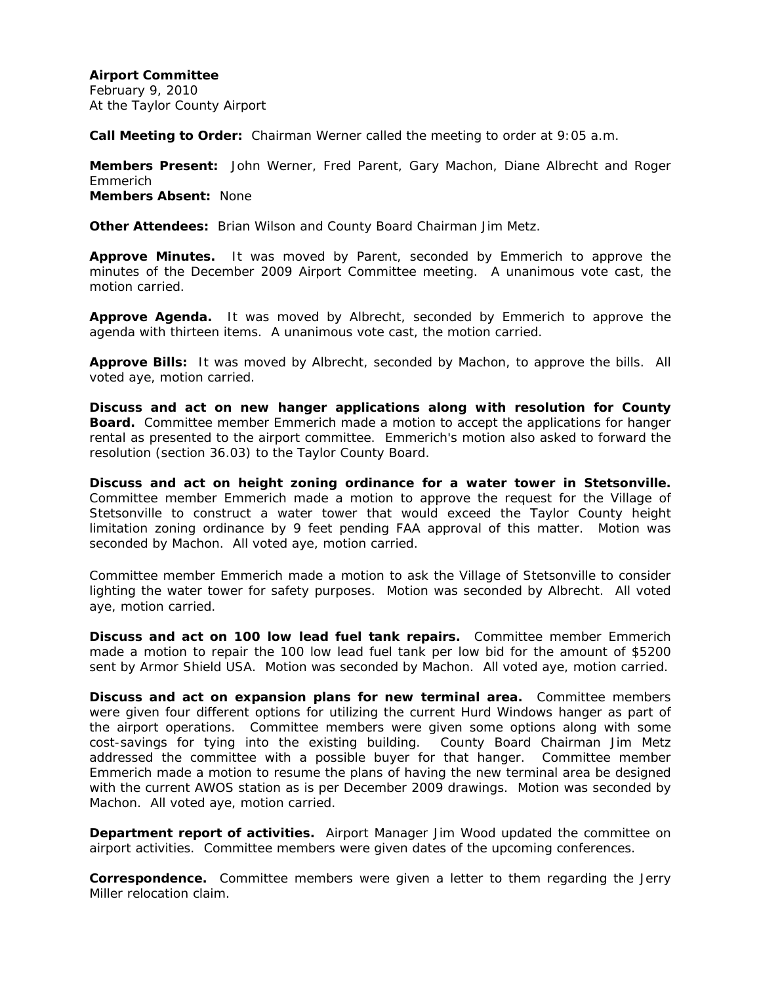February 9, 2010 At the Taylor County Airport

**Call Meeting to Order:** Chairman Werner called the meeting to order at 9:05 a.m.

**Members Present:** John Werner, Fred Parent, Gary Machon, Diane Albrecht and Roger Emmerich **Members Absent:** None

**Other Attendees:** Brian Wilson and County Board Chairman Jim Metz.

**Approve Minutes.** It was moved by Parent, seconded by Emmerich to approve the minutes of the December 2009 Airport Committee meeting. A unanimous vote cast, the motion carried.

**Approve Agenda.** It was moved by Albrecht, seconded by Emmerich to approve the agenda with thirteen items. A unanimous vote cast, the motion carried.

**Approve Bills:** It was moved by Albrecht, seconded by Machon, to approve the bills. All voted aye, motion carried.

**Discuss and act on new hanger applications along with resolution for County Board.** Committee member Emmerich made a motion to accept the applications for hanger rental as presented to the airport committee. Emmerich's motion also asked to forward the resolution (section 36.03) to the Taylor County Board.

**Discuss and act on height zoning ordinance for a water tower in Stetsonville.** Committee member Emmerich made a motion to approve the request for the Village of Stetsonville to construct a water tower that would exceed the Taylor County height limitation zoning ordinance by 9 feet pending FAA approval of this matter. Motion was seconded by Machon. All voted aye, motion carried.

Committee member Emmerich made a motion to ask the Village of Stetsonville to consider lighting the water tower for safety purposes. Motion was seconded by Albrecht. All voted aye, motion carried.

**Discuss and act on 100 low lead fuel tank repairs.** Committee member Emmerich made a motion to repair the 100 low lead fuel tank per low bid for the amount of \$5200 sent by Armor Shield USA. Motion was seconded by Machon. All voted aye, motion carried.

**Discuss and act on expansion plans for new terminal area.** Committee members were given four different options for utilizing the current Hurd Windows hanger as part of the airport operations. Committee members were given some options along with some cost-savings for tying into the existing building. County Board Chairman Jim Metz addressed the committee with a possible buyer for that hanger. Committee member Emmerich made a motion to resume the plans of having the new terminal area be designed with the current AWOS station as is per December 2009 drawings. Motion was seconded by Machon. All voted aye, motion carried.

**Department report of activities.** Airport Manager Jim Wood updated the committee on airport activities. Committee members were given dates of the upcoming conferences.

**Correspondence.** Committee members were given a letter to them regarding the Jerry Miller relocation claim.